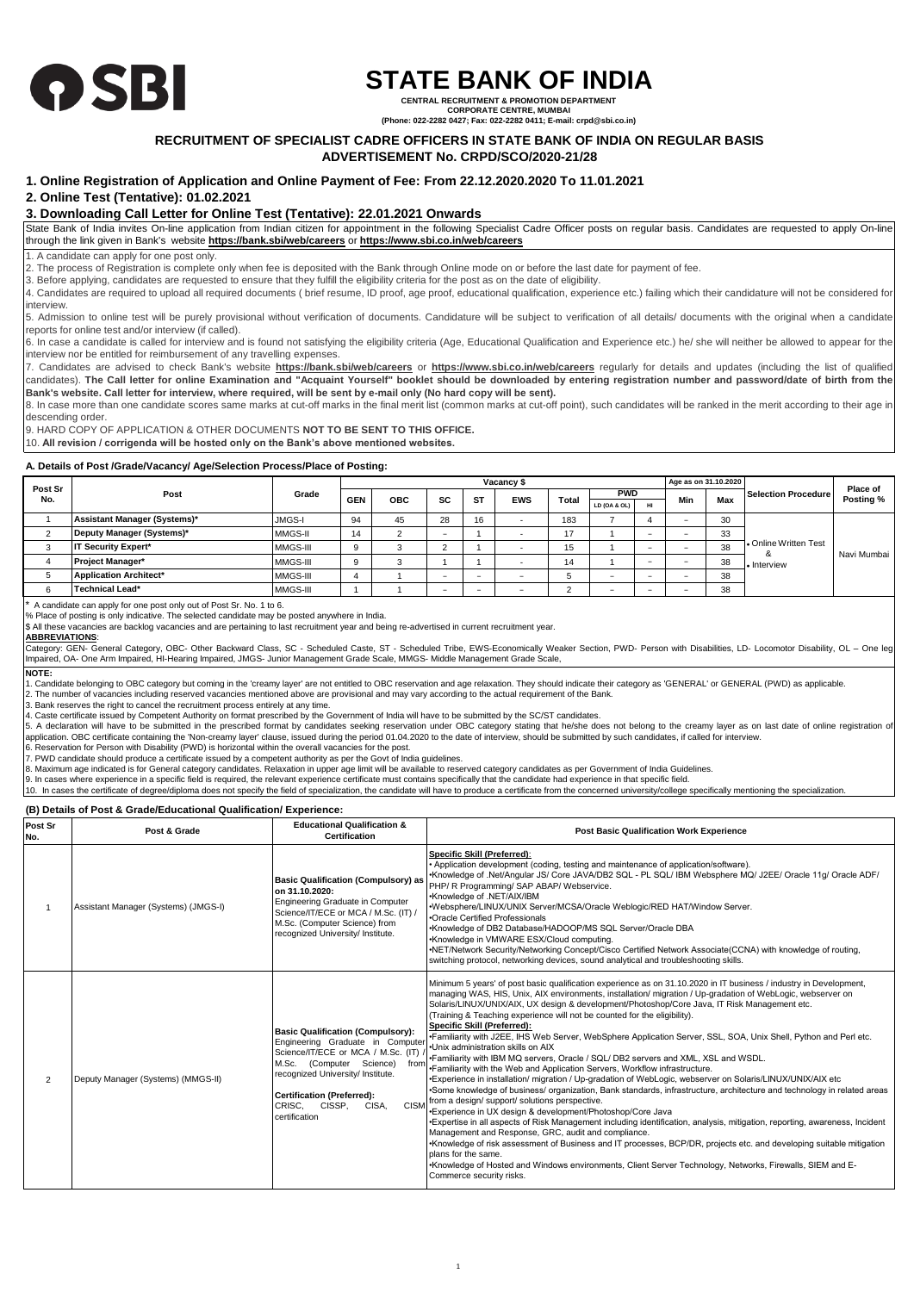

# **STATE BANK OF INDIA**

**CENTRAL RECRUITMENT & PROMOTION DEPARTMENT CORPORATE CENTRE, MUMBAI**

**(Phone: 022-2282 0427; Fax: 022-2282 0411; E-mail: crpd@sbi.co.in)**

# **RECRUITMENT OF SPECIALIST CADRE OFFICERS IN STATE BANK OF INDIA ON REGULAR BASIS**

# **ADVERTISEMENT No. CRPD/SCO/2020-21/28**

# **1. Online Registration of Application and Online Payment of Fee: From 22.12.2020.2020 To 11.01.2021**

# **2. Online Test (Tentative): 01.02.2021**

# **3. Downloading Call Letter for Online Test (Tentative): 22.01.2021 Onwards**

State Bank of India invites On-line application from Indian citizen for appointment in the following Specialist Cadre Officer posts on regular basis. Candidates are requested to apply On-line through the link given in Bank's website **https://bank.sbi/web/careers** or **https://www.sbi.co.in/web/careers**

1. A candidate can apply for one post only.

2. The process of Registration is complete only when fee is deposited with the Bank through Online mode on or before the last date for payment of fee.

3. Before applying, candidates are requested to ensure that they fulfill the eligibility criteria for the post as on the date of eligibility.

4. Candidates are required to upload all required documents ( brief resume, ID proof, age proof, educational qualification, experience etc.) failing which their candidature will not be considered for interview.

5. Admission to online test will be purely provisional without verification of documents. Candidature will be subject to verification of all details/ documents with the original when a candidate reports for online test and/or interview (if called).

6. In case a candidate is called for interview and is found not satisfying the eligibility criteria (Age, Educational Qualification and Experience etc.) he/ she will neither be allowed to appear for the interview nor be entitled for reimbursement of any travelling expenses.

7. Candidates are advised to check Bank's website **https://bank.sbi/web/careers** or **https://www.sbi.co.in/web/careers** regularly for details and updates (including the list of qualified  $\frac{1}{2}$ . Candidates). The Call letter for online Examination and "Acquaint Yourself" booklet should be downloaded by entering registration number and password/date of birth from the **Bank's website. Call letter for interview, where required, will be sent by e-mail only (No hard copy will be sent).**

8. In case more than one candidate scores same marks at cut-off marks in the final merit list (common marks at cut-off point), such candidates will be ranked in the merit according to their age in descending order.

9. HARD COPY OF APPLICATION & OTHER DOCUMENTS **NOT TO BE SENT TO THIS OFFICE.**

10. **All revision / corrigenda will be hosted only on the Bank's above mentioned websites.**

## **A. Details of Post /Grade/Vacancy/ Age/Selection Process/Place of Posting:**

|                |                               |          |            |            |    |           | Vacancy \$ |       |              |    | Age as on 31,10,2020 |     |                                                                |                       |
|----------------|-------------------------------|----------|------------|------------|----|-----------|------------|-------|--------------|----|----------------------|-----|----------------------------------------------------------------|-----------------------|
| Post Sr<br>No. | Post                          | Grade    | <b>GEN</b> | <b>OBC</b> | SC | <b>ST</b> | <b>EWS</b> | Total | <b>PWD</b>   |    | Min                  | Max | Selection Procedure                                            | Place of<br>Posting % |
|                |                               |          |            |            |    |           |            |       | LD (OA & OL) | HI |                      |     |                                                                |                       |
|                | Assistant Manager (Systems)*  | JMGS-I   | 94         | 45         | 28 | 16        |            | 183   |              |    |                      | 30  |                                                                |                       |
|                | Deputy Manager (Systems)*     | MMGS-II  | 14         |            |    |           |            | 47    |              |    |                      | 33  | <b>1.</b> Online Written Test<br>38<br>38<br>• Interview<br>38 | Navi Mumbai           |
|                | IT Security Expert*           | MMGS-III |            |            |    |           |            | 15    |              |    |                      |     |                                                                |                       |
|                | Project Manager*              | MMGS-III | $\Omega$   |            |    |           |            | 14    |              |    |                      |     |                                                                |                       |
|                | <b>Application Architect*</b> | MMGS-III |            |            |    | -         |            |       |              |    |                      |     |                                                                |                       |
|                | Technical Lead*               | MMGS-III |            |            |    | -         |            |       |              |    |                      | 38  |                                                                |                       |

\* A candidate can apply for one post only out of Post Sr. No. 1 to 6. % Place of posting is only indicative. The selected candidate may be posted anywhere in India.

\$ All these vacancies are backlog vacancies and are pertaining to last recruitment year and being re-advertised in current recruitment year.

**ABBREVIATIONS**:

Category: GEN- General Category, OBC- Other Backward Class, SC - Scheduled Caste, ST - Scheduled Tribe, EWS-Economically Weaker Section, PWD- Person with Disabilities, LD- Locomotor Disability, OL – One leg Impaired, OA- One Arm Impaired, HI-Hearing Impaired, JMGS- Junior Management Grade Scale, MMGS- Middle Management Grade Scale,

**NOTE:** ... Candidate belonging to OBC category but coming in the 'creamy layer' are not entitled to OBC reservation and age relaxation. They should indicate their category as 'GENERAL' or GENERAL (PWD) as applicable. 2. The number of vacancies including reserved vacancies mentioned above are provisional and may vary according to the actual requirement of the Bank.

3. Bank reserves the right to cancel the recruitment process entirely at any time.

4. Caste certificate issued by Competent Authority on format prescribed by the Government of India will have to be submitted by the SC/ST candidates.

5. A declaration will have to be submitted in the prescribed format by candidates seeking reservation under OBC category stating that he/she does not belong to the creamy layer as on last date of online registration ot<br>app

6. Reservation for Person with Disability (PWD) is horizontal within the overall vacancies for the post.

7. PWD candidate should produce a certificate issued by a competent authority as per the Govt of India guidelines.

8. Maximum age indicated is for General category candidates. Relaxation in upper age limit will be available to reserved category candidates as per Government of India Guidelines. 9. In cases where experience in a specific field is required, the relevant experience certificate must contains specifically that the candidate had experience in that specific field.

10. In cases the certificate of degree/diploma does not specify the field of specialization, the candidate will have to produce a certificate from the concerned university/college specifically mentioning the specialization.

## **(B) Details of Post & Grade/Educational Qualification/ Experience:**

| Post Sr<br>No. | Post & Grade                         | <b>Educational Qualification &amp;</b><br>Certification                                                                                                                                                                                                                                       | <b>Post Basic Qualification Work Experience</b>                                                                                                                                                                                                                                                                                                                                                                                                                                                                                                                                                                                                                                                                                                                                                                                                                                                                                                                                                                                                                                                                                                                                                                                                                                                                                                                                                                                                                                                                                                                                                                     |
|----------------|--------------------------------------|-----------------------------------------------------------------------------------------------------------------------------------------------------------------------------------------------------------------------------------------------------------------------------------------------|---------------------------------------------------------------------------------------------------------------------------------------------------------------------------------------------------------------------------------------------------------------------------------------------------------------------------------------------------------------------------------------------------------------------------------------------------------------------------------------------------------------------------------------------------------------------------------------------------------------------------------------------------------------------------------------------------------------------------------------------------------------------------------------------------------------------------------------------------------------------------------------------------------------------------------------------------------------------------------------------------------------------------------------------------------------------------------------------------------------------------------------------------------------------------------------------------------------------------------------------------------------------------------------------------------------------------------------------------------------------------------------------------------------------------------------------------------------------------------------------------------------------------------------------------------------------------------------------------------------------|
|                | Assistant Manager (Systems) (JMGS-I) | <b>Basic Qualification (Compulsory) as</b><br>on 31.10.2020:<br>Engineering Graduate in Computer<br>Science/IT/ECE or MCA / M.Sc. (IT) /<br>M.Sc. (Computer Science) from<br>recognized University/ Institute.                                                                                | Specific Skill (Preferred):<br>• Application development (coding, testing and maintenance of application/software).<br>•Knowledge of .Net/Angular JS/ Core JAVA/DB2 SQL - PL SQL/ IBM Websphere MQ/ J2EE/ Oracle 11g/ Oracle ADF/<br>PHP/ R Programming/ SAP ABAP/ Webservice.<br>•Knowledge of .NET/AIX/IBM<br>.Websphere/LINUX/UNIX Server/MCSA/Oracle Weblogic/RED HAT/Window Server.<br>•Oracle Certified Professionals<br>•Knowledge of DB2 Database/HADOOP/MS SQL Server/Oracle DBA<br>•Knowledge in VMWARE ESX/Cloud computing.<br>•NET/Network Security/Networking Concept/Cisco Certified Network Associate(CCNA) with knowledge of routing,<br>switching protocol, networking devices, sound analytical and troubleshooting skills.                                                                                                                                                                                                                                                                                                                                                                                                                                                                                                                                                                                                                                                                                                                                                                                                                                                                       |
| $\overline{c}$ | Deputy Manager (Systems) (MMGS-II)   | <b>Basic Qualification (Compulsory):</b><br>Engineering Graduate in Computer<br>Science/IT/ECE or MCA / M.Sc. (IT)<br>M.Sc. (Computer Science)<br>from<br>recognized University/ Institute.<br><b>Certification (Preferred):</b><br><b>CISM</b><br>CRISC.<br>CISSP,<br>CISA,<br>certification | Minimum 5 years' of post basic qualification experience as on 31.10.2020 in IT business / industry in Development,<br>managing WAS, HIS, Unix, AIX environments, installation/ migration / Up-gradation of WebLogic, webserver on<br>Solaris/LINUX/UNIX/AIX, UX design & development/Photoshop/Core Java, IT Risk Management etc.<br>(Training & Teaching experience will not be counted for the eligibility).<br>Specific Skill (Preferred):<br>•Familiarity with J2EE, IHS Web Server, WebSphere Application Server, SSL, SOA, Unix Shell, Python and Perl etc.<br>.Unix administration skills on AIX<br>.Familiarity with IBM MQ servers, Oracle / SQL/ DB2 servers and XML, XSL and WSDL.<br>•Familiarity with the Web and Application Servers, Workflow infrastructure.<br>*Experience in installation/ migration / Up-gradation of WebLogic, webserver on Solaris/LINUX/UNIX/AIX etc<br>•Some knowledge of business/ organization, Bank standards, infrastructure, architecture and technology in related areas<br>from a design/ support/ solutions perspective.<br>*Experience in UX design & development/Photoshop/Core Java<br>•Expertise in all aspects of Risk Management including identification, analysis, mitigation, reporting, awareness, Incident<br>Management and Response, GRC, audit and compliance.<br>•Knowledge of risk assessment of Business and IT processes, BCP/DR, projects etc. and developing suitable mitigation<br>plans for the same.<br>•Knowledge of Hosted and Windows environments, Client Server Technology, Networks, Firewalls, SIEM and E-<br>Commerce security risks. |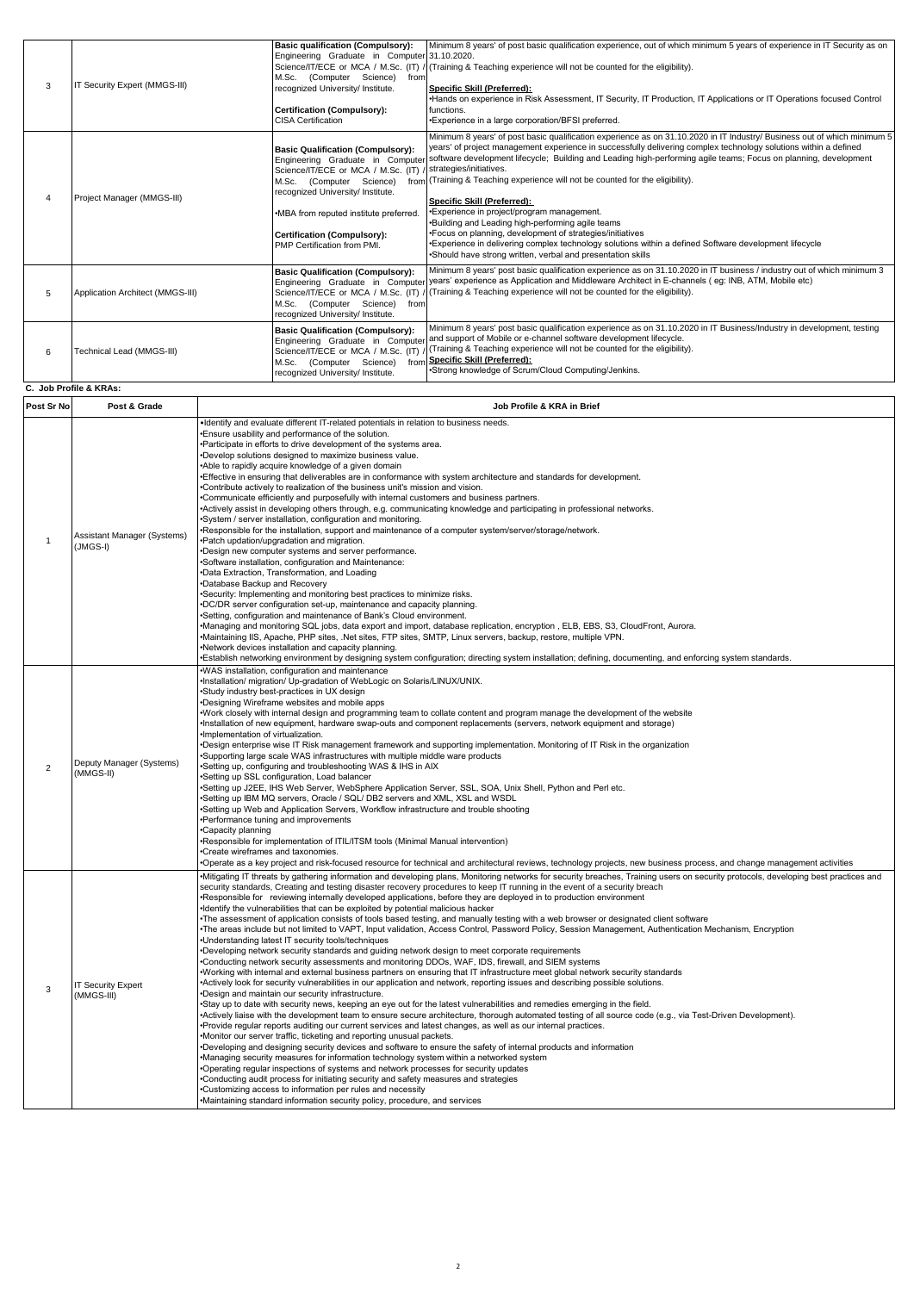| 3 | IT Security Expert (MMGS-III)    | <b>Basic qualification (Compulsory):</b><br>Engineering Graduate in Computer 31.10.2020.<br>M.Sc. (Computer Science)<br>from<br>recognized University/ Institute.<br>Certification (Compulsory):<br><b>CISA Certification</b>                                  | Minimum 8 years' of post basic qualification experience, out of which minimum 5 years of experience in IT Security as on<br>Science/IT/ECE or MCA / M.Sc. (IT) / (Training & Teaching experience will not be counted for the eligibility).<br>Specific Skill (Preferred):<br>•Hands on experience in Risk Assessment, IT Security, IT Production, IT Applications or IT Operations focused Control<br>functions.<br>.Experience in a large corporation/BFSI preferred.                                                                                                                                                                                                                                                                                                                                                                                                                  |
|---|----------------------------------|----------------------------------------------------------------------------------------------------------------------------------------------------------------------------------------------------------------------------------------------------------------|-----------------------------------------------------------------------------------------------------------------------------------------------------------------------------------------------------------------------------------------------------------------------------------------------------------------------------------------------------------------------------------------------------------------------------------------------------------------------------------------------------------------------------------------------------------------------------------------------------------------------------------------------------------------------------------------------------------------------------------------------------------------------------------------------------------------------------------------------------------------------------------------|
|   | Project Manager (MMGS-III)       | <b>Basic Qualification (Compulsory):</b><br>Science/IT/ECE or MCA / M.Sc. (IT)<br>M.Sc. (Computer Science)<br>recognized University/ Institute.<br>•MBA from reputed institute preferred.<br><b>Certification (Compulsory):</b><br>PMP Certification from PMI. | Minimum 8 years' of post basic qualification experience as on 31.10.2020 in IT Industry/ Business out of which minimum 5<br>years' of project management experience in successfully delivering complex technology solutions within a defined<br>Engineering Graduate in Computer software development lifecycle; Building and Leading high-performing agile teams; Focus on planning, development<br>strategies/initiatives.<br>from (Training & Teaching experience will not be counted for the eligibility).<br>Specific Skill (Preferred):<br>.Experience in project/program management.<br>.Building and Leading high-performing agile teams<br>. Focus on planning, development of strategies/initiatives<br>•Experience in delivering complex technology solutions within a defined Software development lifecycle<br>•Should have strong written, verbal and presentation skills |
| 5 | Application Architect (MMGS-III) | <b>Basic Qualification (Compulsory):</b><br>Science/IT/ECE or MCA / M.Sc. (IT)<br>(Computer Science)<br>M.Sc.<br>from<br>recognized University/ Institute.                                                                                                     | Minimum 8 years' post basic qualification experience as on 31.10.2020 in IT business / industry out of which minimum 3<br>Engineering Graduate in Computer years' experience as Application and Middleware Architect in E-channels (eg: INB, ATM, Mobile etc)<br>/ (Training & Teaching experience will not be counted for the eligibility).                                                                                                                                                                                                                                                                                                                                                                                                                                                                                                                                            |
| 6 | Technical Lead (MMGS-III)        | <b>Basic Qualification (Compulsory):</b><br>Science/IT/ECE or MCA / M.Sc. (IT)<br>M.Sc. (Computer Science)<br>recognized University/ Institute.                                                                                                                | Minimum 8 years' post basic qualification experience as on 31.10.2020 in IT Business/Industry in development, testing<br>Engineering Graduate in Computer and support of Mobile or e-channel software development lifecycle.<br>(Training & Teaching experience will not be counted for the eligibility).<br>from Specific Skill (Preferred):<br>•Strong knowledge of Scrum/Cloud Computing/Jenkins.                                                                                                                                                                                                                                                                                                                                                                                                                                                                                    |

|                | C. Job Profile & KRAs:                    |                                                                                                                                                                                                                                                                                                                                                                                                                                                                                                                                                                                                                                                                                                                                                                                                                                                                                                                                                                                                                                                                                                                                                                                                                                                                                                                                                                                                                                                                                                                                                                                                                                                                                                                                                                                                                                                                                                                                                                                                                                                                                                                                                                                                                                                                                                                                                                                                                                                        |
|----------------|-------------------------------------------|--------------------------------------------------------------------------------------------------------------------------------------------------------------------------------------------------------------------------------------------------------------------------------------------------------------------------------------------------------------------------------------------------------------------------------------------------------------------------------------------------------------------------------------------------------------------------------------------------------------------------------------------------------------------------------------------------------------------------------------------------------------------------------------------------------------------------------------------------------------------------------------------------------------------------------------------------------------------------------------------------------------------------------------------------------------------------------------------------------------------------------------------------------------------------------------------------------------------------------------------------------------------------------------------------------------------------------------------------------------------------------------------------------------------------------------------------------------------------------------------------------------------------------------------------------------------------------------------------------------------------------------------------------------------------------------------------------------------------------------------------------------------------------------------------------------------------------------------------------------------------------------------------------------------------------------------------------------------------------------------------------------------------------------------------------------------------------------------------------------------------------------------------------------------------------------------------------------------------------------------------------------------------------------------------------------------------------------------------------------------------------------------------------------------------------------------------------|
| Post Sr No     | Post & Grade                              | Job Profile & KRA in Brief                                                                                                                                                                                                                                                                                                                                                                                                                                                                                                                                                                                                                                                                                                                                                                                                                                                                                                                                                                                                                                                                                                                                                                                                                                                                                                                                                                                                                                                                                                                                                                                                                                                                                                                                                                                                                                                                                                                                                                                                                                                                                                                                                                                                                                                                                                                                                                                                                             |
| $\mathbf{1}$   | Assistant Manager (Systems)<br>$(JMGS-I)$ | Identify and evaluate different IT-related potentials in relation to business needs.<br>Ensure usability and performance of the solution.<br>•Participate in efforts to drive development of the systems area.<br>.Develop solutions designed to maximize business value.<br>*Able to rapidly acquire knowledge of a given domain<br>Effective in ensuring that deliverables are in conformance with system architecture and standards for development.<br>•Contribute actively to realization of the business unit's mission and vision.<br>•Communicate efficiently and purposefully with internal customers and business partners.<br>•Actively assist in developing others through, e.g. communicating knowledge and participating in professional networks.<br>.System / server installation, configuration and monitoring.<br>.Responsible for the installation, support and maintenance of a computer system/server/storage/network.<br>Patch updation/upgradation and migration.<br>*Design new computer systems and server performance.<br>Software installation, configuration and Maintenance:<br>*Data Extraction, Transformation, and Loading<br>*Database Backup and Recovery<br>Security: Implementing and monitoring best practices to minimize risks.<br>DC/DR server configuration set-up, maintenance and capacity planning.<br>*Setting, configuration and maintenance of Bank's Cloud environment.<br>•Managing and monitoring SQL jobs, data export and import, database replication, encryption, ELB, EBS, S3, CloudFront, Aurora.<br>•Maintaining IIS, Apache, PHP sites, .Net sites, FTP sites, SMTP, Linux servers, backup, restore, multiple VPN.<br>•Network devices installation and capacity planning.<br>Establish networking environment by designing system configuration; directing system installation; defining, documenting, and enforcing system standards.                                                                                                                                                                                                                                                                                                                                                                                                                                                                                                                                                      |
| $\overline{2}$ | Deputy Manager (Systems)<br>(MMGS-II)     | .WAS installation, configuration and maintenance<br>•Installation/ migration/ Up-gradation of WebLogic on Solaris/LINUX/UNIX.<br>•Study industry best-practices in UX design<br>Designing Wireframe websites and mobile apps<br>•Work closely with internal design and programming team to collate content and program manage the development of the website<br>•Installation of new equipment, hardware swap-outs and component replacements (servers, network equipment and storage)<br>·Implementation of virtualization.<br>•Design enterprise wise IT Risk management framework and supporting implementation. Monitoring of IT Risk in the organization<br>Supporting large scale WAS infrastructures with multiple middle ware products<br>Setting up, configuring and troubleshooting WAS & IHS in AIX<br>Setting up SSL configuration, Load balancer<br>Setting up J2EE, IHS Web Server, WebSphere Application Server, SSL, SOA, Unix Shell, Python and Perl etc.<br>Setting up IBM MQ servers, Oracle / SQL/ DB2 servers and XML, XSL and WSDL<br>Setting up Web and Application Servers, Workflow infrastructure and trouble shooting<br>Performance tuning and improvements<br>Capacity planning<br>Responsible for implementation of ITIL/ITSM tools (Minimal Manual intervention)<br>•Create wireframes and taxonomies.<br>•Operate as a key project and risk-focused resource for technical and architectural reviews, technology projects, new business process, and change management activities                                                                                                                                                                                                                                                                                                                                                                                                                                                                                                                                                                                                                                                                                                                                                                                                                                                                                                                                      |
| 3              | <b>IT Security Expert</b><br>(MMGS-III)   | -Mitigating IT threats by gathering information and developing plans, Monitoring networks for security breaches, Training users on security protocols, developing best practices and<br>security standards, Creating and testing disaster recovery procedures to keep IT running in the event of a security breach<br>Responsible for reviewing internally developed applications, before they are deploved in to production environment<br>·Identify the vulnerabilities that can be exploited by potential malicious hacker<br>The assessment of application consists of tools based testing, and manually testing with a web browser or designated client software<br>The areas include but not limited to VAPT, Input validation, Access Control, Password Policy, Session Management, Authentication Mechanism, Encryption<br>.Understanding latest IT security tools/techniques<br>Developing network security standards and guiding network design to meet corporate requirements<br>Conducting network security assessments and monitoring DDOs, WAF, IDS, firewall, and SIEM systems<br>Working with internal and external business partners on ensuring that IT infrastructure meet global network security standards<br>•Actively look for security vulnerabilities in our application and network, reporting issues and describing possible solutions.<br>*Design and maintain our security infrastructure.<br>•Stay up to date with security news, keeping an eye out for the latest vulnerabilities and remedies emerging in the field.<br>Actively liaise with the development team to ensure secure architecture, thorough automated testing of all source code (e.g., via Test-Driven Development).<br>Provide regular reports auditing our current services and latest changes, as well as our internal practices.<br>•Monitor our server traffic, ticketing and reporting unusual packets.<br>•Developing and designing security devices and software to ensure the safety of internal products and information<br>•Managing security measures for information technology system within a networked system<br>Operating regular inspections of systems and network processes for security updates<br>Conducting audit process for initiating security and safety measures and strategies<br>Customizing access to information per rules and necessity<br>•Maintaining standard information security policy, procedure, and services |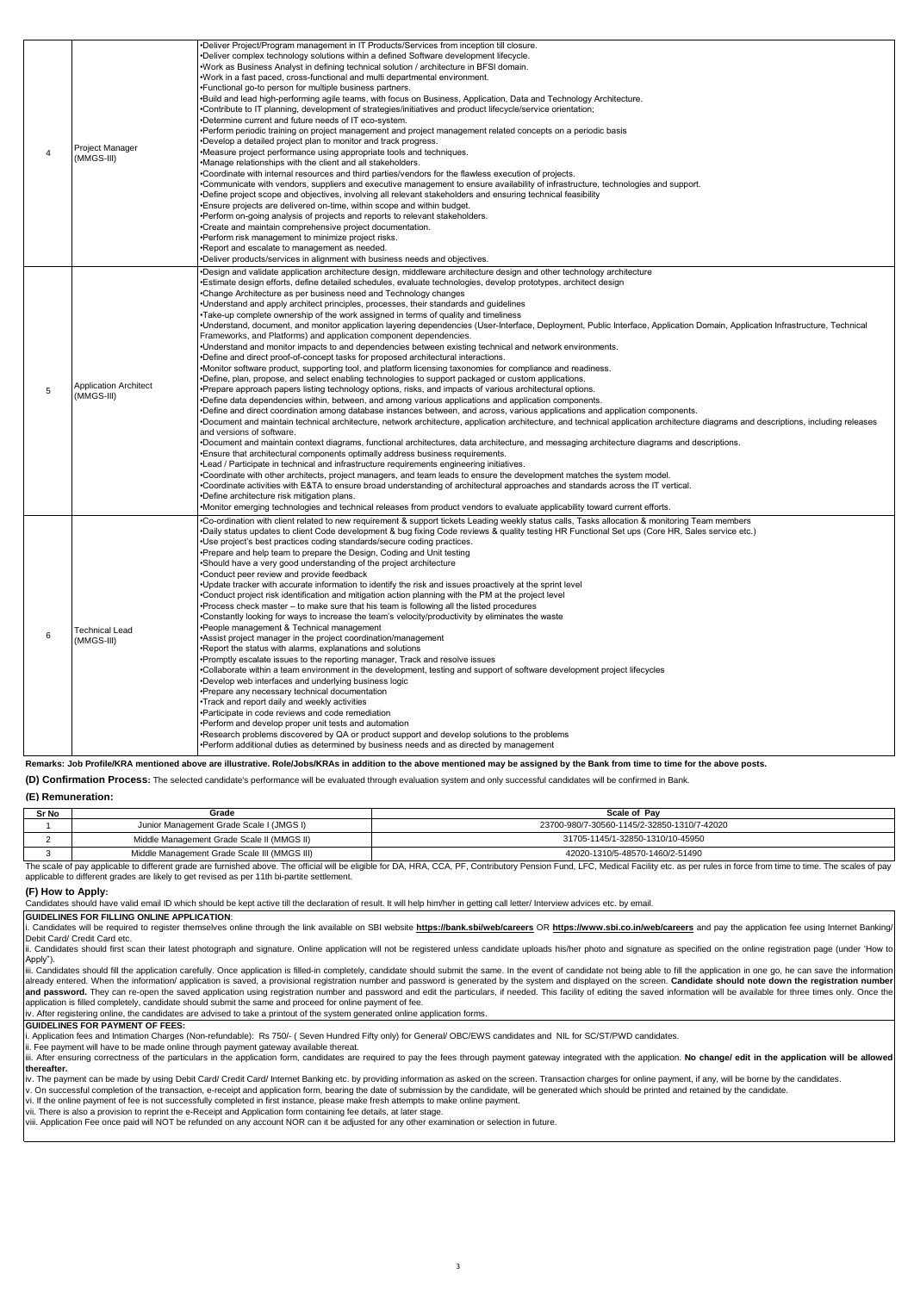| $\overline{4}$ | Project Manager<br>(MMGS-III)             | .Deliver Project/Program management in IT Products/Services from inception till closure.<br>. Deliver complex technology solutions within a defined Software development lifecycle.<br>.Work as Business Analyst in defining technical solution / architecture in BFSI domain.<br>.Work in a fast paced, cross-functional and multi departmental environment.<br>. Functional go-to person for multiple business partners.<br>.Build and lead high-performing agile teams, with focus on Business, Application, Data and Technology Architecture.<br>•Contribute to IT planning, development of strategies/initiatives and product lifecycle/service orientation;<br>•Determine current and future needs of IT eco-system.<br>•Perform periodic training on project management and project management related concepts on a periodic basis<br>*Develop a detailed project plan to monitor and track progress.<br>•Measure project performance using appropriate tools and techniques.<br>.Manage relationships with the client and all stakeholders.<br>•Coordinate with internal resources and third parties/vendors for the flawless execution of projects.<br>•Communicate with vendors, suppliers and executive management to ensure availability of infrastructure, technologies and support.<br>•Define project scope and objectives, involving all relevant stakeholders and ensuring technical feasibility<br>.Ensure projects are delivered on-time, within scope and within budget.<br>•Perform on-going analysis of projects and reports to relevant stakeholders.<br>•Create and maintain comprehensive project documentation.<br>•Perform risk management to minimize project risks.<br>.Report and escalate to management as needed.<br>.Deliver products/services in alignment with business needs and objectives.                                                                                                                                                                                                                                                                                                                                                                                                                                                                                                                                                                                                                                                                                                       |
|----------------|-------------------------------------------|-----------------------------------------------------------------------------------------------------------------------------------------------------------------------------------------------------------------------------------------------------------------------------------------------------------------------------------------------------------------------------------------------------------------------------------------------------------------------------------------------------------------------------------------------------------------------------------------------------------------------------------------------------------------------------------------------------------------------------------------------------------------------------------------------------------------------------------------------------------------------------------------------------------------------------------------------------------------------------------------------------------------------------------------------------------------------------------------------------------------------------------------------------------------------------------------------------------------------------------------------------------------------------------------------------------------------------------------------------------------------------------------------------------------------------------------------------------------------------------------------------------------------------------------------------------------------------------------------------------------------------------------------------------------------------------------------------------------------------------------------------------------------------------------------------------------------------------------------------------------------------------------------------------------------------------------------------------------------------------------------------------------------------------------------------------------------------------------------------------------------------------------------------------------------------------------------------------------------------------------------------------------------------------------------------------------------------------------------------------------------------------------------------------------------------------------------------------------------------------------------------------------------------------------|
| 5              | <b>Application Architect</b><br>MMGS-III) | •Design and validate application architecture design, middleware architecture design and other technology architecture<br>•Estimate design efforts, define detailed schedules, evaluate technologies, develop prototypes, architect design<br>•Change Architecture as per business need and Technology changes<br>•Understand and apply architect principles, processes, their standards and quidelines<br>Take-up complete ownership of the work assigned in terms of quality and timeliness<br>*Understand, document, and monitor application layering dependencies (User-Interface, Deployment, Public Interface, Application Domain, Application Infrastructure, Technical<br>Frameworks, and Platforms) and application component dependencies.<br>.Understand and monitor impacts to and dependencies between existing technical and network environments.<br>.Define and direct proof-of-concept tasks for proposed architectural interactions.<br>•Monitor software product, supporting tool, and platform licensing taxonomies for compliance and readiness.<br>. Define, plan, propose, and select enabling technologies to support packaged or custom applications.<br>•Prepare approach papers listing technology options, risks, and impacts of various architectural options.<br>•Define data dependencies within, between, and among various applications and application components.<br>•Define and direct coordination among database instances between, and across, various applications and application components.<br>•Document and maintain technical architecture, network architecture, application architecture, and technical application architecture diagrams and descriptions, including releases<br>and versions of software.<br>•Document and maintain context diagrams, functional architectures, data architecture, and messaging architecture diagrams and descriptions.<br>. Ensure that architectural components optimally address business requirements.<br>•Lead / Participate in technical and infrastructure requirements engineering initiatives.<br>•Coordinate with other architects, project managers, and team leads to ensure the development matches the system model.<br>•Coordinate activities with E&TA to ensure broad understanding of architectural approaches and standards across the IT vertical.<br>•Define architecture risk mitigation plans.<br>•Monitor emerging technologies and technical releases from product vendors to evaluate applicability toward current efforts. |
| 6              | <b>Technical Lead</b><br>(MMGS-III)       | •Co-ordination with client related to new requirement & support tickets Leading weekly status calls, Tasks allocation & monitoring Team members<br>•Daily status updates to client Code development & bug fixing Code reviews & quality testing HR Functional Set ups (Core HR, Sales service etc.)<br>.Use project's best practices coding standards/secure coding practices.<br>•Prepare and help team to prepare the Design, Coding and Unit testing<br>•Should have a very good understanding of the project architecture<br>.Conduct peer review and provide feedback<br>•Update tracker with accurate information to identify the risk and issues proactively at the sprint level<br>•Conduct project risk identification and mitigation action planning with the PM at the project level<br>•Process check master – to make sure that his team is following all the listed procedures<br>•Constantly looking for ways to increase the team's velocity/productivity by eliminates the waste<br>•People management & Technical management<br>*Assist project manager in the project coordination/management<br>.Report the status with alarms, explanations and solutions<br>•Promptly escalate issues to the reporting manager, Track and resolve issues<br>.Collaborate within a team environment in the development, testing and support of software development project lifecycles<br>.Develop web interfaces and underlying business logic<br>•Prepare any necessary technical documentation<br>. Track and report daily and weekly activities<br>•Participate in code reviews and code remediation<br>•Perform and develop proper unit tests and automation<br>•Research problems discovered by QA or product support and develop solutions to the problems<br>•Perform additional duties as determined by business needs and as directed by management                                                                                                                                                                                                                                                                                                                                                                                                                                                                                                                                                                                                                                                                      |

**Remarks: Job Profile/KRA mentioned above are illustrative. Role/Jobs/KRAs in addition to the above mentioned may be assigned by the Bank from time to time for the above posts.**

**(D) Confirmation Process:** The selected candidate's performance will be evaluated through evaluation system and only successful candidates will be confirmed in Bank.

# **(E) Remuneration:**

| Sr No | Grade                                        | <b>Scale of Pav</b>                         |
|-------|----------------------------------------------|---------------------------------------------|
|       | Junior Management Grade Scale I (JMGS I)     | 23700-980/7-30560-1145/2-32850-1310/7-42020 |
|       | Middle Management Grade Scale II (MMGS II)   | 31705-1145/1-32850-1310/10-45950            |
|       | Middle Management Grade Scale III (MMGS III) | 42020-1310/5-48570-1460/2-51490             |

The scale of pay applicable to different grade are furnished above. The official will be eligible for DA, HRA, CCA, PF, Contributory Pension Fund, LFC, Medical Facility etc. as per rules in force from time to time. The sca applicable to different grades are likely to get revised as per 11th bi-partite settlement.

### **(F) How to Apply:**

.<br>Indidates should have valid email ID which should be kept active till the declaration of result. It will help him/her in getting call letter/ Interview advices etc. by email.

# **GUIDELINES FOR FILLING ONLINE APPLICATION**:

. Candidates will be required to register themselves online through the link available on SBI website https://bank.sbi/web/careers OR https://www.sbi.co.in/web/careers</u> and pay the application fee using Internet Banking Debit Card/ Credit Card etc.

ii. Candidates should first scan their latest photograph and signature. Online application will not be registered unless candidate uploads his/her photo and signature as specified on the online registration page (under 'Ho Apply").

v-v-ry , ...<br>iii. Candidates should fill the application carefully. Once application is filled-in completely, candidate should submit the same. In the event of candidate not being able to fill the application in one go, he already entered. When the information/ application is saved, a provisional registration number and password is generated by the system and displayed on the screen. **Candidate should note down the registration number**<br>**and** 

iv. After registering online, the candidates are advised to take a printout of the system generated online application forms.

# **GUIDELINES FOR PAYMENT OF FEES:**

i. Application fees and Intimation Charges (Non-refundable): Rs 750/- ( Seven Hundred Fifty only) for General/ OBC/EWS candidates and NIL for SC/ST/PWD candidates.<br>ii. Fee payment will have to be made online through payme

iii. After ensuring correctness of the particulars in the application form, candidates are required to pay the fees through payment gateway integrated with the application. No change/ edit in the application will be allowe **thereafter.**

iv. The payment can be made by using Debit Card/ Cradit Card/ Internet Banking etc. by providing information as asked on the screen. Transaction charges for online payment, if any, will be borne by the candidates.<br>v. On su

vi. If the online payment of fee is not successfully completed in first instance, please make fresh attempts to make online payment.<br>vii. There is also a provision to reprint the e-Receipt and Application form containing f

viii. Application Fee once paid will NOT be refunded on any account NOR can it be adjusted for any other examination or selection in future.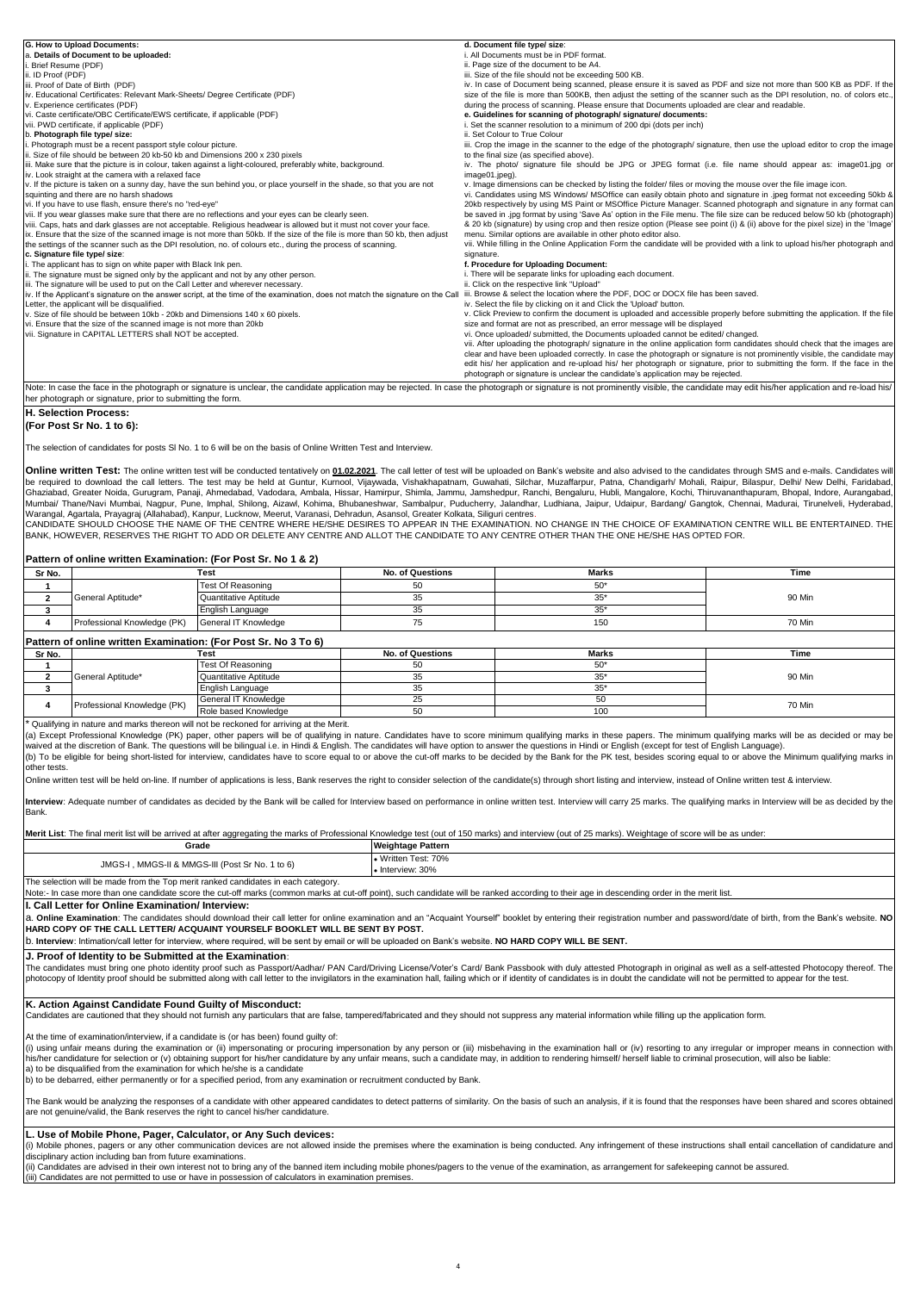| G. How to Upload Documents:                                                                                                                                                                                       | d. Document file type/ size:                                                                                                   |
|-------------------------------------------------------------------------------------------------------------------------------------------------------------------------------------------------------------------|--------------------------------------------------------------------------------------------------------------------------------|
| a. Details of Document to be uploaded:                                                                                                                                                                            | i. All Documents must be in PDF format.                                                                                        |
| Brief Resume (PDF)                                                                                                                                                                                                | ii. Page size of the document to be A4.                                                                                        |
| ii. ID Proof (PDF)                                                                                                                                                                                                | iii. Size of the file should not be exceeding 500 KB.                                                                          |
| iii. Proof of Date of Birth (PDF)                                                                                                                                                                                 | iv. In case of Document being scanned, please ensure it is saved as PDF and size not more than 500 KB as PDF. If the           |
| iv. Educational Certificates: Relevant Mark-Sheets/ Degree Certificate (PDF)                                                                                                                                      | size of the file is more than 500KB, then adjust the setting of the scanner such as the DPI resolution, no. of colors etc.,    |
| v. Experience certificates (PDF)                                                                                                                                                                                  | during the process of scanning. Please ensure that Documents uploaded are clear and readable.                                  |
| vi. Caste certificate/OBC Certificate/EWS certificate, if applicable (PDF)                                                                                                                                        | e. Guidelines for scanning of photograph/ signature/ documents:                                                                |
| vii. PWD certificate, if applicable (PDF)                                                                                                                                                                         | i. Set the scanner resolution to a minimum of 200 dpi (dots per inch)                                                          |
| b. Photograph file type/ size:                                                                                                                                                                                    | ii. Set Colour to True Colour                                                                                                  |
| . Photograph must be a recent passport style colour picture.                                                                                                                                                      | iii. Crop the image in the scanner to the edge of the photograph/ signature, then use the upload editor to crop the image      |
| ii. Size of file should be between 20 kb-50 kb and Dimensions 200 x 230 pixels                                                                                                                                    | to the final size (as specified above).                                                                                        |
| iii. Make sure that the picture is in colour, taken against a light-coloured, preferably white, background.                                                                                                       | iv. The photo/ signature file should be JPG or JPEG format (i.e. file name should appear as: image01.jpg or                    |
| iv. Look straight at the camera with a relaxed face                                                                                                                                                               | image01.jpeg).                                                                                                                 |
| v. If the picture is taken on a sunny day, have the sun behind you, or place yourself in the shade, so that you are not                                                                                           | v. Image dimensions can be checked by listing the folder/ files or moving the mouse over the file image icon.                  |
| squinting and there are no harsh shadows                                                                                                                                                                          | vi. Candidates using MS Windows/ MSOffice can easily obtain photo and signature in .jpeg format not exceeding 50kb &           |
| vi. If you have to use flash, ensure there's no "red-eye"                                                                                                                                                         | 20kb respectively by using MS Paint or MSOffice Picture Manager. Scanned photograph and signature in any format can            |
| vii. If you wear glasses make sure that there are no reflections and your eyes can be clearly seen.                                                                                                               | be saved in .jpg format by using 'Save As' option in the File menu. The file size can be reduced below 50 kb (photograph)      |
| viii. Caps, hats and dark glasses are not acceptable. Religious headwear is allowed but it must not cover your face.                                                                                              | & 20 kb (signature) by using crop and then resize option (Please see point (i) & (ii) above for the pixel size) in the 'Image' |
| ix. Ensure that the size of the scanned image is not more than 50kb. If the size of the file is more than 50 kb, then adjust                                                                                      | menu. Similar options are available in other photo editor also.                                                                |
| the settings of the scanner such as the DPI resolution, no. of colours etc., during the process of scanning.                                                                                                      | vii. While filling in the Online Application Form the candidate will be provided with a link to upload his/her photograph and  |
| c. Signature file type/ size:                                                                                                                                                                                     | signature.                                                                                                                     |
| . The applicant has to sign on white paper with Black Ink pen.                                                                                                                                                    | f. Procedure for Uploading Document:                                                                                           |
| ii. The signature must be signed only by the applicant and not by any other person.                                                                                                                               | i. There will be separate links for uploading each document.                                                                   |
| iii. The signature will be used to put on the Call Letter and wherever necessary.                                                                                                                                 | ii. Click on the respective link "Upload"                                                                                      |
| iv. If the Applicant's signature on the answer script, at the time of the examination, does not match the signature on the Call iii. Browse & select the location where the PDF, DOC or DOCX file has been saved. |                                                                                                                                |
| Letter, the applicant will be disqualified.                                                                                                                                                                       | iv. Select the file by clicking on it and Click the 'Upload' button.                                                           |
| v. Size of file should be between 10kb - 20kb and Dimensions 140 x 60 pixels.                                                                                                                                     | v. Click Preview to confirm the document is uploaded and accessible properly before submitting the application. If the file    |
| vi. Ensure that the size of the scanned image is not more than 20kb                                                                                                                                               | size and format are not as prescribed, an error message will be displayed                                                      |
| vii. Signature in CAPITAL LETTERS shall NOT be accepted.                                                                                                                                                          | vi. Once uploaded/ submitted, the Documents uploaded cannot be edited/ changed.                                                |
|                                                                                                                                                                                                                   | vii. After uploading the photograph/ signature in the online application form candidates should check that the images are      |
|                                                                                                                                                                                                                   | clear and have been uploaded correctly. In case the photograph or signature is not prominently visible, the candidate may      |
|                                                                                                                                                                                                                   | edit his/ her application and re-upload his/ her photograph or signature, prior to submitting the form. If the face in the     |
|                                                                                                                                                                                                                   | photograph or signature is unclear the candidate's application may be rejected.                                                |

Note: In case the face in the photograph or signature is unclear, the candidate application may be rejected. In case the photograph or signature is not prominently visible, the candidate may edit his/her application and re her photograph or signature, prior to submitting the form.

## **H. Selection Process: (For Post Sr No. 1 to 6):**

The selection of candidates for posts Sl No. 1 to 6 will be on the basis of Online Written Test and Interview.

Online written Test: The online written test will be conducted tentatively on 01.02.2021. The call letter of test will be uploaded on Bank's website and also advised to the candidates through SMS and e-mails. Candidates wi Letter of the call letters. The test may be held at Guntur, Kurnool, Vijaywada, Vishakhapatnam, Guwahati, Silchar, Muzaffarpur, Patna, Chandigarh/ Mohali, Raipur, Bilaspur, Delhi/ New Delhi, Faridabad, Delhi New Delhi, Far Ghaziabad, Greater Noida, Gurugram, Panaji, Ahmedabad, Vadodara, Ambala, Hissar, Hamirpur, Shimla, Jammu, Jamshedpur, Ranchi, Bengaluru, Hubli, Mangalore, Kochi, Thiruvananthapuram, Bhopal, Indore, Aurangabad, Mumbai/ Thane/Navi Mumbai, Nagpur, Pune, Imphal, Shilong, Aizawl, Kohima, Bhubaneshwar, Sambalpur, Puducherry, Jalandhar, Ludhiana, Jaipur, Udaipur, Bardang/ Gangtok, Chennai, Madurai, Tirunelveli, Hyde

Warangal, Agartala, Prayagraj (Allahabad), Kanpur, Lucknow, Meerut, Varanasi, Dehradun, Asansol, Greater Kolkata, Siliguri centres.<br>CANDIDATE SHOULD CHOOSE THE NAME OF THE CENTRE WHERE HE/SHE DESIRENT ARRY MATHE EXAMINATIO

### **Pattern of online written Examination: (For Post Sr. No 1 & 2)**

| Sr No. |                             | Test                  | <b>No. of Questions</b> | Marks        | Time   |
|--------|-----------------------------|-----------------------|-------------------------|--------------|--------|
|        |                             | Test Of Reasoning     |                         | $E^*$<br>ິບປ |        |
|        | General Aptitude*           | Quantitative Aptitude |                         | $0.5*$       | 90 Min |
|        |                             | English Language      |                         | $0-$         |        |
|        | Professional Knowledge (PK) | General IT Knowledge  |                         | 150          | 70 Min |
|        |                             |                       |                         |              |        |

### **Pattern of online written Examination: (For Post Sr. No 3 To 6)**

|        | awin of online while it launing to the top of the control of the control of the control of the control of the |                       |                         |       |        |  |
|--------|---------------------------------------------------------------------------------------------------------------|-----------------------|-------------------------|-------|--------|--|
| Sr No. |                                                                                                               | Test                  | <b>No. of Questions</b> | Marks | Time   |  |
|        |                                                                                                               | Test Of Reasoning     | ິບປ                     | ⊏∩*   |        |  |
|        | General Aptitude*                                                                                             | Quantitative Aptitude |                         |       | 90 Min |  |
|        |                                                                                                               | English Language      |                         |       |        |  |
|        | Professional Knowledge (PK)                                                                                   | General IT Knowledge  | ້                       | 50    | 70 Min |  |
|        |                                                                                                               | Role based Knowledge  | 50<br>ບບ                | 100   |        |  |

\* Qualifying in nature and marks thereon will not be reckoned for arriving at the Merit.

(a) Except Professional Knowledge (PK) paper, other papers will be of qualifying in nature. Candidates have to score minimum qualifying marks in these papers. The minimum qualifying marks will be as decided or may be<br>waive (b) To be eligible for being short-listed for interview, candidates have to score equal to or above the cut-off marks to be decided by the Bank for the PK test, besides scoring equal to or above the Minimum qualifying mark

other tests.

Online written test will be held on-line. If number of applications is less, Bank reserves the right to consider selection of the candidate(s) through short listing and interview, instead of Online written test & interview

Interview: Adequate number of candidates as decided by the Bank will be called for Interview based on performance in online written test, Interview will carry 25 marks. The qualifying marks in Interview will be as decided **Bank** 

| Merit List: The final merit list will be arrived at after aggregating the marks of Professional Knowledge test (out of 150 marks) and interview (out of 25 marks). Weightage of score will be as under: |                                         |  |  |  |  |
|---------------------------------------------------------------------------------------------------------------------------------------------------------------------------------------------------------|-----------------------------------------|--|--|--|--|
| Grade                                                                                                                                                                                                   | Weightage Pattern                       |  |  |  |  |
| JMGS-I, MMGS-II & MMGS-III (Post Sr No. 1 to 6)                                                                                                                                                         | • Written Test: 70%<br>• Interview: 30% |  |  |  |  |

# The selection will be made from the Top merit ranked candidates in each category.

Note:- In case more than one candidate score the cut-off marks (common marks at cut-off point), such candidate will be ranked according to their age in descending order in the merit list

**I. Call Letter for Online Examination/ Interview:**

a. Online Examination: The candidates should download their call letter for online examination and an "Acquaint Yourself" booklet by entering their registration number and password/date of birth, from the Bank's website. N **HARD COPY OF THE CALL LETTER/ ACQUAINT YOURSELF BOOKLET WILL BE SENT BY POST.**

b. **Interview**: Intimation/call letter for interview, where required, will be sent by email or will be uploaded on Bank's website. **NO HARD COPY WILL BE SENT.**

# **J. Proof of Identity to be Submitted at the Examination**:

The candidates must bring one photo identity proof such as Passport/Aadhar/ PAN Card/Driving License/Voter's Card/ Bank Passbook with duly attested Photograph in original as well as a self-attested Photocopy thereof. The<br>p

# **K. Action Against Candidate Found Guilty of Misconduct:**

Candidates are cautioned that they should not furnish any particulars that are false, tampered/fabricated and they should not suppress any material information while filling up the application form.

At the time of examination/interview, if a candidate is (or has been) found guilty of:

The system in the examination of (ii) impersonating or procuring impersonation by any person or (iii) misbehaving in the examination hall or (iv) resorting to any irregular or improper means in connection with (i) using un his/her candidature for selection or (v) obtaining support for his/her candidature by any unfair means, such a candidate may, in addition to rendering himself/ herself liable to criminal prosecution, will also be liable: a) to be disqualified from the examination for which he/she is a candidate

b) to be debarred, either permanently or for a specified period, from any examination or recruitment conducted by Bank.

The Bank would be analyzing the responses of a candidate with other appeared candidates to detect patterns of similarity. On the basis of such an analysis, if it is found that the responses have been shared and scores obta are not genuine/valid, the Bank reserves the right to cancel his/her candidature.

### **L. Use of Mobile Phone, Pager, Calculator, or Any Such devices:**

(i) Mobile phones, pagers or any other communication devices are not allowed inside the premises where the examination is being conducted. Any infringement of these instructions shall entail cancellation of candidature an disciplinary action including ban from future examinations.

(ii) Candidates are advised in their own interest not to bring any of the banned item including mobile phones/pagers to the venue of the examination, as arrangement for safekeeping cannot be assured. (iii) Candidates are not permitted to use or have in possession of calculators in examination premises.